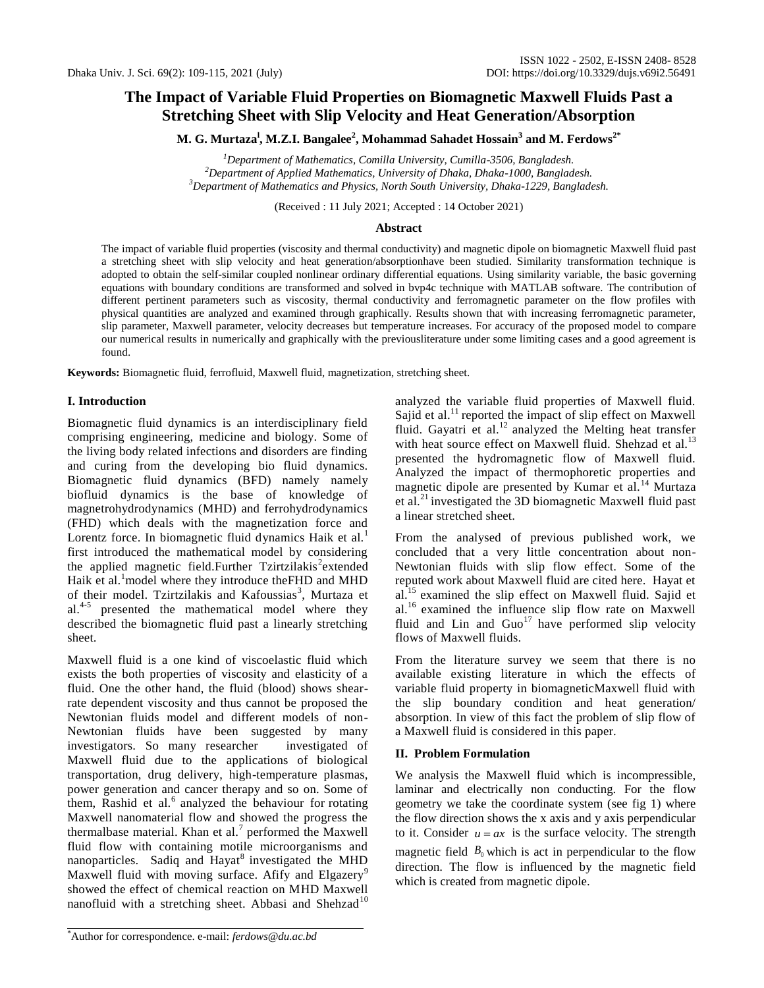# **The Impact of Variable Fluid Properties on Biomagnetic Maxwell Fluids Past a Stretching Sheet with Slip Velocity and Heat Generation/Absorption**

**M. G. Murtaza<sup>l</sup> , M.Z.I. Bangalee<sup>2</sup> , Mohammad Sahadet Hossain<sup>3</sup> and M. Ferdows2\***

*<sup>1</sup>Department of Mathematics, Comilla University, Cumilla-3506, Bangladesh. <sup>2</sup>Department of Applied Mathematics, University of Dhaka, Dhaka-1000, Bangladesh. <sup>3</sup>Department of Mathematics and Physics, North South University, Dhaka-1229, Bangladesh.*

(Received : 11 July 2021; Accepted : 14 October 2021)

## **Abstract**

The impact of variable fluid properties (viscosity and thermal conductivity) and magnetic dipole on biomagnetic Maxwell fluid past a stretching sheet with slip velocity and heat generation/absorptionhave been studied. Similarity transformation technique is adopted to obtain the self-similar coupled nonlinear ordinary differential equations. Using similarity variable, the basic governing equations with boundary conditions are transformed and solved in bvp4c technique with MATLAB software. The contribution of different pertinent parameters such as viscosity, thermal conductivity and ferromagnetic parameter on the flow profiles with physical quantities are analyzed and examined through graphically. Results shown that with increasing ferromagnetic parameter, slip parameter, Maxwell parameter, velocity decreases but temperature increases. For accuracy of the proposed model to compare our numerical results in numerically and graphically with the previousliterature under some limiting cases and a good agreement is found.

**Keywords:** Biomagnetic fluid, ferrofluid, Maxwell fluid, magnetization, stretching sheet.

# **I. Introduction**

Biomagnetic fluid dynamics is an interdisciplinary field comprising engineering, medicine and biology. Some of the living body related infections and disorders are finding and curing from the developing bio fluid dynamics. Biomagnetic fluid dynamics (BFD) namely namely biofluid dynamics is the base of knowledge of magnetrohydrodynamics (MHD) and ferrohydrodynamics (FHD) which deals with the magnetization force and Lorentz force. In biomagnetic fluid dynamics Haik et al.<sup>1</sup> first introduced the mathematical model by considering the applied magnetic field.Further Tzirtzilakis<sup>2</sup> extended Haik et al.<sup>1</sup>model where they introduce the FHD and MHD of their model. Tzirtzilakis and Kafoussias<sup>3</sup>, Murtaza et al.<sup>4-5</sup> presented the mathematical model where they described the biomagnetic fluid past a linearly stretching sheet.

Maxwell fluid is a one kind of viscoelastic fluid which exists the both properties of viscosity and elasticity of a fluid. One the other hand, the fluid (blood) shows shearrate dependent viscosity and thus cannot be proposed the Newtonian fluids model and different models of non-Newtonian fluids have been suggested by many investigators. So many researcher investigated of Maxwell fluid due to the applications of biological transportation, drug delivery, high-temperature plasmas, power generation and cancer therapy and so on. Some of them, Rashid et al.<sup>6</sup> analyzed the behaviour for rotating Maxwell nanomaterial flow and showed the progress the thermalbase material. Khan et al.<sup>7</sup> performed the Maxwell fluid flow with containing motile microorganisms and nanoparticles. Sadiq and Hayat<sup>8</sup> investigated the MHD Maxwell fluid with moving surface. Afify and Elgazery<sup>9</sup> showed the effect of chemical reaction on MHD Maxwell nanofluid with a stretching sheet. Abbasi and Shehzad<sup>10</sup>

analyzed the variable fluid properties of Maxwell fluid. Sajid et al.<sup>11</sup> reported the impact of slip effect on Maxwell fluid. Gayatri et al.<sup>12</sup> analyzed the Melting heat transfer with heat source effect on Maxwell fluid. Shehzad et al.<sup>13</sup> presented the hydromagnetic flow of Maxwell fluid. Analyzed the impact of thermophoretic properties and magnetic dipole are presented by Kumar et al.<sup>14</sup> Murtaza et al.<sup>21</sup> investigated the 3D biomagnetic Maxwell fluid past a linear stretched sheet.

From the analysed of previous published work, we concluded that a very little concentration about non-Newtonian fluids with slip flow effect. Some of the reputed work about Maxwell fluid are cited here. Hayat et al.<sup>15</sup> examined the slip effect on Maxwell fluid. Sajid et al.<sup>16</sup> examined the influence slip flow rate on Maxwell fluid and Lin and  $Guo<sup>17</sup>$  have performed slip velocity flows of Maxwell fluids.

From the literature survey we seem that there is no available existing literature in which the effects of variable fluid property in biomagneticMaxwell fluid with the slip boundary condition and heat generation/ absorption. In view of this fact the problem of slip flow of a Maxwell fluid is considered in this paper.

# **II. Problem Formulation**

We analysis the Maxwell fluid which is incompressible, laminar and electrically non conducting. For the flow geometry we take the coordinate system (see fig 1) where the flow direction shows the x axis and y axis perpendicular to it. Consider  $u = ax$  is the surface velocity. The strength magnetic field  $B_0$  which is act in perpendicular to the flow direction. The flow is influenced by the magnetic field which is created from magnetic dipole.

<sup>\*</sup>Author for correspondence. e-mail: *ferdows@du.ac.bd*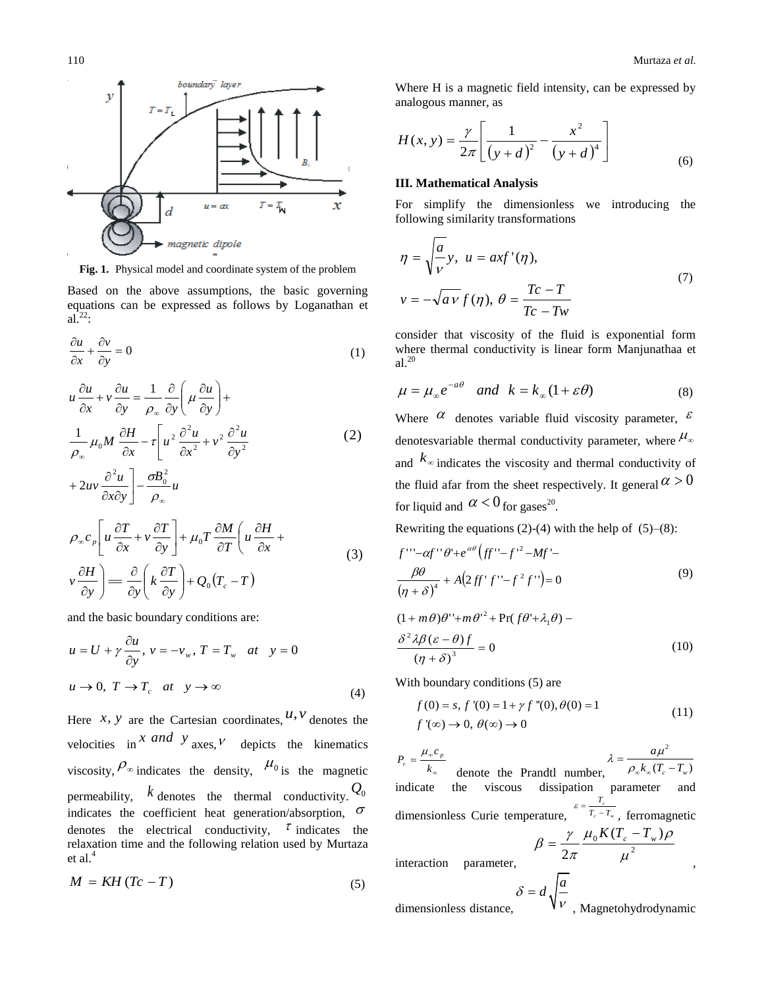2



**Fig. 1.** Physical model and coordinate system of the problem

Based on the above assumptions, the basic governing equations can be expressed as follows by Loganathan et  $al.<sup>22</sup>$ :

$$
\frac{\partial u}{\partial x} + \frac{\partial v}{\partial y} = 0 \tag{1}
$$

$$
u\frac{\partial u}{\partial x} + v\frac{\partial u}{\partial y} = \frac{1}{\rho_{\infty}}\frac{\partial}{\partial y}\left(\mu\frac{\partial u}{\partial y}\right) +
$$
  

$$
\frac{1}{\rho_{\infty}}\mu_0 M \frac{\partial H}{\partial x} - \tau \left[ u^2 \frac{\partial^2 u}{\partial x^2} + v^2 \frac{\partial^2 u}{\partial y^2} + 2uv \frac{\partial^2 u}{\partial y^2} \right] - \frac{\sigma B_0^2}{2} u
$$
 (2)

$$
\partial x \partial y \Big] \rho_{\infty}
$$
\n
$$
\rho_{\infty} c_{p} \Big[ u \frac{\partial T}{\partial x} + v \frac{\partial T}{\partial y} \Big] + \mu_{0} T \frac{\partial M}{\partial T} \Big( u \frac{\partial H}{\partial x} + v \frac{\partial H}{\partial y} \Big) = \frac{\partial}{\partial y} \Big( k \frac{\partial T}{\partial y} \Big) + Q_{0} (T_{c} - T) \tag{3}
$$

and the basic boundary conditions are:

$$
u = U + \gamma \frac{\partial u}{\partial y}, \quad v = -v_w, \quad T = T_w \quad at \quad y = 0
$$
\n
$$
u \to 0, \quad T \to T_c \quad at \quad y \to \infty
$$
\n(4)

Here *x*, *y* are the Cartesian coordinates,  $u, v$  denotes the velocities in  $\int x \, d\theta \, y$  axes,  $\theta$  depicts the kinematics viscosity,  $\rho_{\infty}$  indicates the density,  $\mu_{0}$  is the magnetic permeability,  $k$  denotes the thermal conductivity.  $Q_0$ indicates the coefficient heat generation/absorption,  $\sigma$ denotes the electrical conductivity,  $\tau$  indicates the relaxation time and the following relation used by Murtaza et al.<sup>4</sup>

$$
M = KH (Tc - T) \tag{5}
$$

Where H is a magnetic field intensity, can be expressed by analogous manner, as

$$
H(x, y) = \frac{\gamma}{2\pi} \left[ \frac{1}{(y+d)^2} - \frac{x^2}{(y+d)^4} \right]
$$
 (6)

## **III. Mathematical Analysis**

For simplify the dimensionless we introducing the following similarity transformations

$$
\eta = \sqrt{\frac{a}{v}} y, \ u = axf'(\eta),
$$
  

$$
v = -\sqrt{av} f(\eta), \ \theta = \frac{Tc - T}{Tc - Tw}
$$
\n(7)

consider that viscosity of the fluid is exponential form where thermal conductivity is linear form Manjunathaa et  $al.^{20}$ 

$$
\mu = \mu_{\infty} e^{-a\theta} \quad \text{and} \quad k = k_{\infty} (1 + \varepsilon \theta) \tag{8}
$$

Where  $\alpha$  denotes variable fluid viscosity parameter,  $\epsilon$ denotesvariable thermal conductivity parameter, where  $\mu_{\infty}$ and  $k_{\infty}$  indicates the viscosity and thermal conductivity of the fluid afar from the sheet respectively. It general  $\alpha > 0$ for liquid and  $\alpha < 0$  for gases<sup>20</sup>.

Rewriting the equations (2)-(4) with the help of  $(5)-(8)$ :

$$
f'''-\alpha f''\theta'+e^{\alpha\theta}(ff''-f'^{2}-Mf'-\frac{\beta\theta}{(\eta+\delta)^{4}}+A(2ff'f''-f^{2}f'')=0
$$
\n(9)

 $(1 + m\theta)\theta$ "+ $m\theta$ <sup>2</sup> + Pr( $f\theta$ '+ $\lambda_1\theta$ ) –

$$
\frac{\delta^2 \lambda \beta (\varepsilon - \theta) f}{\left(\eta + \delta\right)^3} = 0\tag{10}
$$

With boundary conditions (5) are  
\n
$$
f(0) = s, f'(0) = 1 + \gamma f''(0), \theta(0) = 1
$$
\n
$$
f'(\infty) \to 0, \ \theta(\infty) \to 0
$$
\n(11)

œ 8  $=$ *k c P p r*  $\mu_{\text{c}}$ denote the Prandtl number, 2  $(T_c - T_w)$  $c - I_w$ *a*  $k_{\infty} (T_c - T_s)$  $\mu$  $\lambda =$  $\rho_{\scriptscriptstyle{\infty}}$ K $_{\scriptscriptstyle{\infty}}$ (  $\overline{\phantom{0}}$ indicate the viscous dissipation parameter and dimensionless Curie temperature,  $T_c - T_w$  $\frac{r_c}{T_c-T_w}$ *T*  $\varepsilon = \frac{T_c}{T_c - T_w}$ , ferromagnetic 2  $_{0}K(T_{c}-T_{w})$  $2\pi$   $\mu$  $\mu_0 K (I_c - I_w) \rho$ π  $\beta = \frac{\gamma}{\gamma}$  $=\frac{\gamma}{\sqrt{2}}\frac{\mu_0 K(T_c-T_w)}{T_c}$ 

interaction parameter,

$$
\delta = d \sqrt{\frac{a}{v}}
$$
 dimensionless distance,

,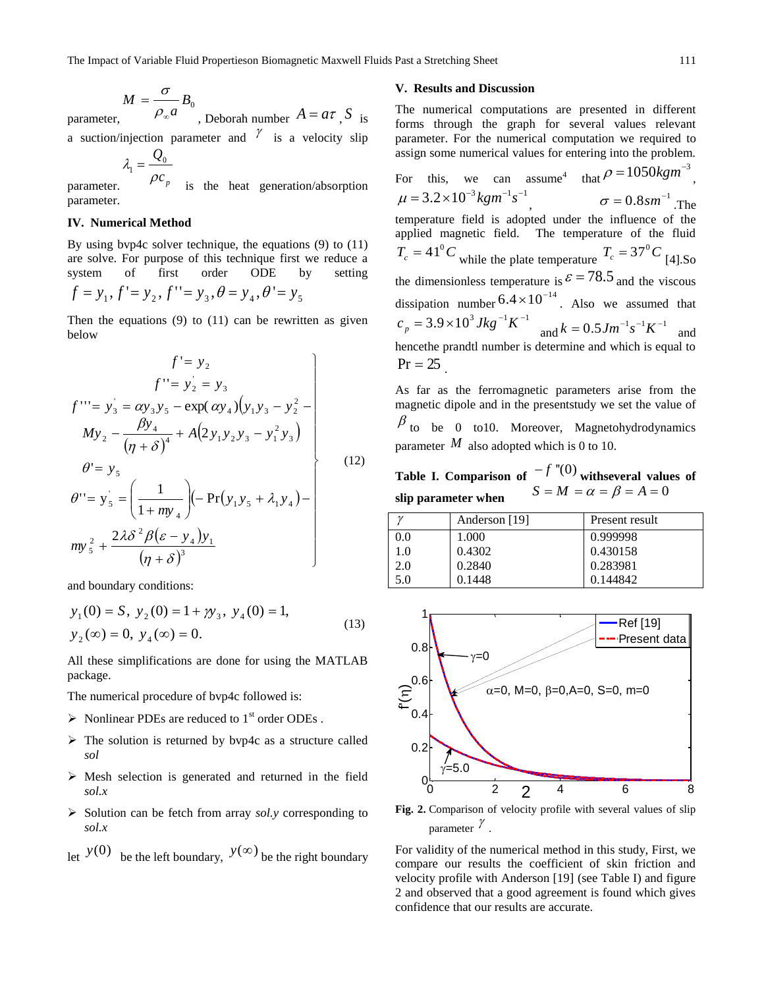$$
M = \frac{\sigma}{\rho_0} B_0
$$

parameter,  $\rho_{\infty} a^{-0}$ , Deborah number  $A = a\tau$ , S is

a suction/injection parameter and  $\frac{\gamma}{\alpha}$  is a velocity slip *Q*

$$
\lambda_1 = \frac{\mathcal{L}_0}{\rho c_p}
$$

parameter. is the heat generation/absorption parameter.

#### **IV. Numerical Method**

By using bvp4c solver technique, the equations (9) to (11) are solve. For purpose of this technique first we reduce a system of first order ODE by setting  $f = y_1, f' = y_2, f'' = y_3, \theta = y_4, \theta' = y_5$ 

Then the equations  $(9)$  to  $(11)$  can be rewritten as given below

$$
f' = y_2
$$
  
\n
$$
f'' = y_2 = y_3
$$
  
\n
$$
f''' = y_3 = \alpha y_3 y_5 - \exp(\alpha y_4) (y_1 y_3 - y_2^2 - \mu y_3)
$$
  
\n
$$
My_2 - \frac{\beta y_4}{(\eta + \delta)^4} + A(2 y_1 y_2 y_3 - y_1^2 y_3)
$$
  
\n
$$
\theta' = y_5
$$
  
\n
$$
Q'' = y_5
$$
\n(12)

$$
\theta'' = y'_5 = \left(\frac{1}{1 + my_4}\right) \left(-\Pr(y_1y_5 + \lambda_1y_4) - \frac{1}{1 + my_4}\right)
$$

$$
my_5^2 + \frac{2\lambda\delta^2\beta(\varepsilon - y_4)y_1}{\left(\eta + \delta\right)^3}
$$

and boundary conditions:

$$
y_1(0) = S
$$
,  $y_2(0) = 1 + \gamma y_3$ ,  $y_4(0) = 1$ ,  
\n $y_2(\infty) = 0$ ,  $y_4(\infty) = 0$ . (13)

All these simplifications are done for using the MATLAB package.

The numerical procedure of bvp4c followed is:

- $\triangleright$  Nonlinear PDEs are reduced to 1<sup>st</sup> order ODEs.
- $\triangleright$  The solution is returned by bvp4c as a structure called *sol*
- $\triangleright$  Mesh selection is generated and returned in the field *sol.x*
- Solution can be fetch from array *sol.y* corresponding to *sol.x*
- let  $y(0)$  be the left boundary,  $y(\infty)$  be the right boundary

### **V. Results and Discussion**

The numerical computations are presented in different forms through the graph for several values relevant parameter. For the numerical computation we required to assign some numerical values for entering into the problem. For this, we can assume  $4$ that  $\rho = 1050$ *kgm*<sup>-3</sup> ,  $\mu = 3.2 \times 10^{-3} kgm^{-1}s^{-1}$ ,  $\sigma = 0.8$ *sm*<sup>-1</sup>.The temperature field is adopted under the influence of the applied magnetic field. The temperature of the fluid  $T_c = 41^\circ C$  while the plate temperature  $T_c = 37^\circ C$  [4].So the dimensionless temperature is  $\epsilon$  = 78.5 and the viscous dissipation number  $6.4 \times 10^{-14}$ . Also we assumed that  $c_p = 3.9 \times 10^3 J kg^{-1} K^{-1}$  and  $k = 0.5 J m^{-1} s^{-1} K^{-1}$  and hencethe prandtl number is determine and which is equal to  $Pr = 25$ 

As far as the ferromagnetic parameters arise from the magnetic dipole and in the presentstudy we set the value of  $\beta$  to be 0 to10. Moreover, Magnetohydrodynamics parameter  $M$  also adopted which is 0 to 10.

**Table I. Comparison of**  $-f''(0)$  **withseveral values of slip parameter when**   $S = M = \alpha = \beta = A = 0$ 

| $\sim$ | Anderson [19] | Present result |
|--------|---------------|----------------|
| 0.0    | 1.000         | 0.999998       |
| 1.0    | 0.4302        | 0.430158       |
| 2.0    | 0.2840        | 0.283981       |
| 5.0    | 0.1448        | 0.144842       |



**Fig. 2.** Comparison of velocity profile with several values of slip parameter  $\chi$ .

For validity of the numerical method in this study, First, we compare our results the coefficient of skin friction and velocity profile with Anderson [19] (see Table I) and figure 2 and observed that a good agreement is found which gives confidence that our results are accurate.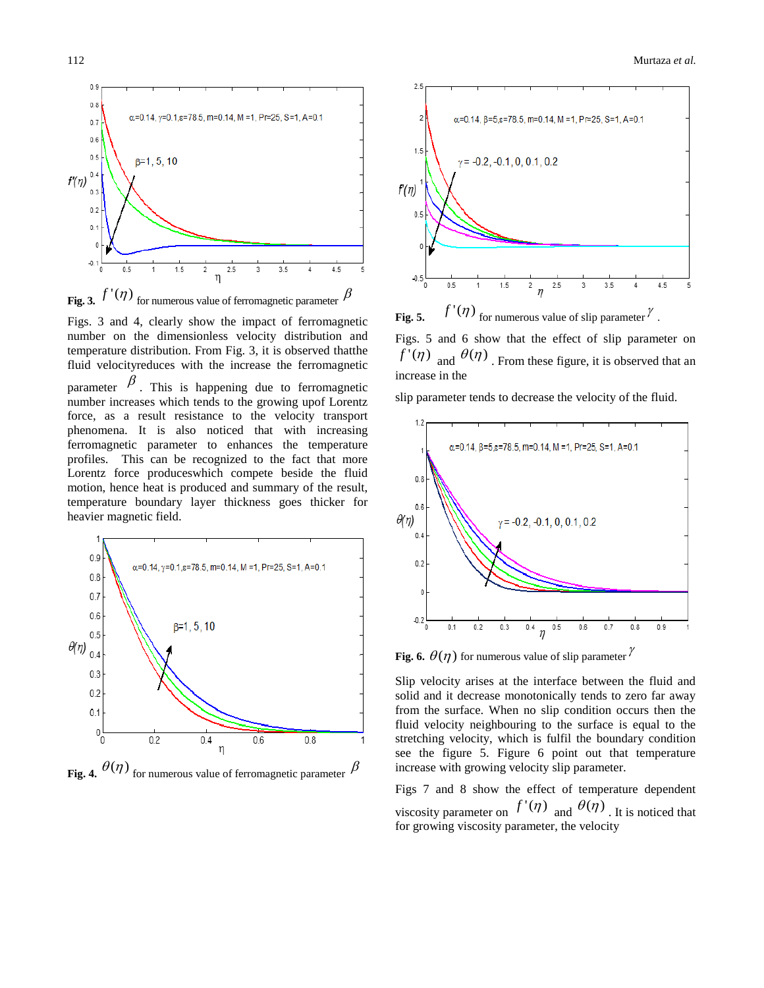

Figs. 3 and 4, clearly show the impact of ferromagnetic number on the dimensionless velocity distribution and temperature distribution. From Fig. 3, it is observed thatthe fluid velocityreduces with the increase the ferromagnetic parameter  $\beta$ . This is happening due to ferromagnetic number increases which tends to the growing upof Lorentz force, as a result resistance to the velocity transport phenomena. It is also noticed that with increasing ferromagnetic parameter to enhances the temperature profiles. This can be recognized to the fact that more Lorentz force produceswhich compete beside the fluid motion, hence heat is produced and summary of the result, temperature boundary layer thickness goes thicker for heavier magnetic field.



**Fig. 4.**  $\theta(\eta)$  for numerous value of ferromagnetic parameter  $\beta$ 



**Fig. 5.**  $f'(\eta)$  for numerous value of slip parameter  $^{\gamma}$ .

Figs. 5 and 6 show that the effect of slip parameter on  $f'(\eta)$  and  $\theta(\eta)$ . From these figure, it is observed that an increase in the

slip parameter tends to decrease the velocity of the fluid.



**Fig. 6.**  $\theta(\eta)$  for numerous value of slip parameter  $^{\gamma}$ 

Slip velocity arises at the interface between the fluid and solid and it decrease monotonically tends to zero far away from the surface. When no slip condition occurs then the fluid velocity neighbouring to the surface is equal to the stretching velocity, which is fulfil the boundary condition see the figure 5. Figure 6 point out that temperature increase with growing velocity slip parameter.

Figs 7 and 8 show the effect of temperature dependent viscosity parameter on  $f'(\eta)$  and  $\theta(\eta)$ . It is noticed that for growing viscosity parameter, the velocity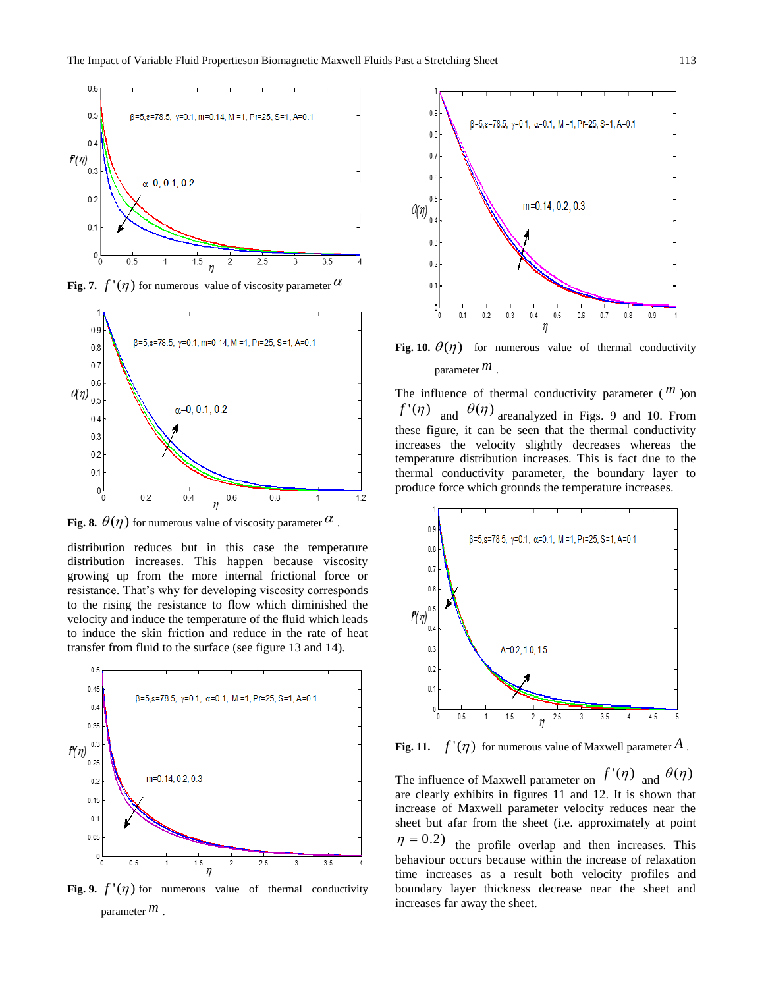

**Fig. 7.**  $f'(\eta)$  for numerous value of viscosity parameter  $\alpha$ 



Fig. 8.  $\theta(\eta)$  for numerous value of viscosity parameter  $\alpha$  .

distribution reduces but in this case the temperature distribution increases. This happen because viscosity growing up from the more internal frictional force or resistance. That's why for developing viscosity corresponds to the rising the resistance to flow which diminished the velocity and induce the temperature of the fluid which leads to induce the skin friction and reduce in the rate of heat transfer from fluid to the surface (see figure 13 and 14).



Fig. 9.  $f'(\eta)$  for numerous value of thermal conductivity parameter *m* .



Fig. 10.  $\theta(\eta)$  for numerous value of thermal conductivity parameter *m* .

The influence of thermal conductivity parameter  $(m)$  on  $f'(\eta)$  and  $\theta(\eta)$  areanalyzed in Figs. 9 and 10. From these figure, it can be seen that the thermal conductivity increases the velocity slightly decreases whereas the temperature distribution increases. This is fact due to the thermal conductivity parameter, the boundary layer to produce force which grounds the temperature increases.



Fig. 11.  $f'(\eta)$  for numerous value of Maxwell parameter  $A$  .

The influence of Maxwell parameter on  $f'(\eta)$  and  $\theta(\eta)$ are clearly exhibits in figures 11 and 12. It is shown that increase of Maxwell parameter velocity reduces near the sheet but afar from the sheet (i.e. approximately at point  $\eta = 0.2$ ) the profile overlap and then increases. This

behaviour occurs because within the increase of relaxation time increases as a result both velocity profiles and boundary layer thickness decrease near the sheet and increases far away the sheet.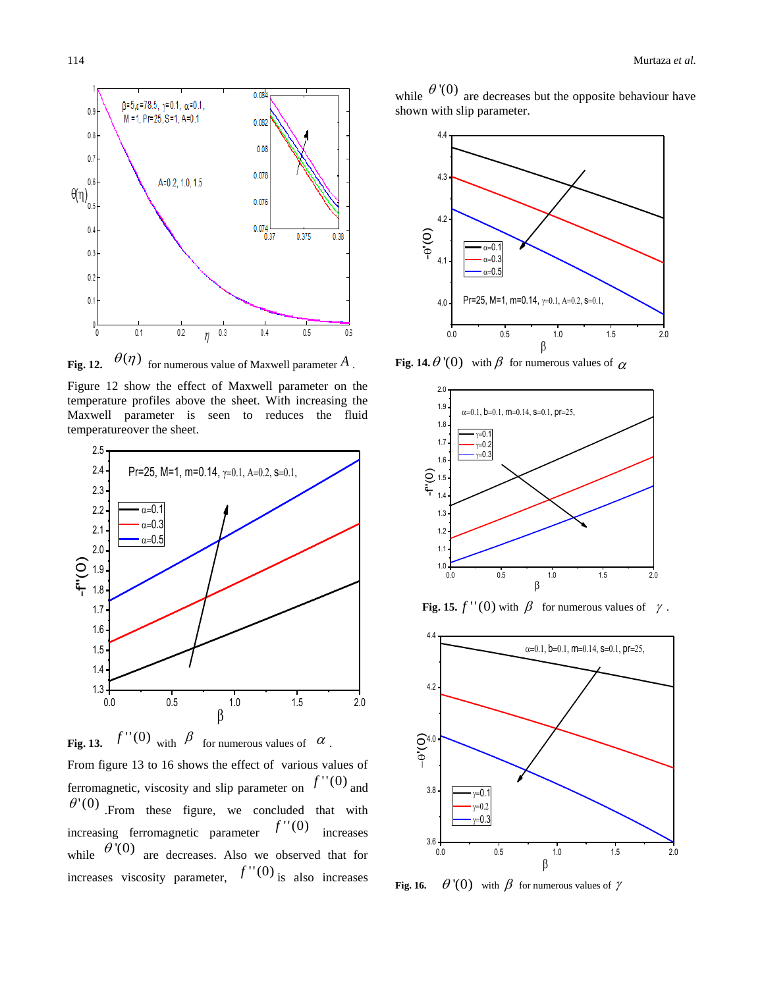

**Fig. 12.**  $\theta(\eta)$  for numerous value of Maxwell parameter  $A$ .

Figure 12 show the effect of Maxwell parameter on the temperature profiles above the sheet. With increasing the Maxwell parameter is seen to reduces the fluid temperatureover the sheet.



**Fig. 13.**  $f''(0)$  with  $\beta$  for numerous values of  $\alpha$ .

From figure 13 to 16 shows the effect of various values of ferromagnetic, viscosity and slip parameter on  $f''(0)$  and  $\theta'(0)$  From these figure, we concluded that with increasing ferromagnetic parameter  $f''(0)$  increases while  $\theta'(0)$  are decreases. Also we observed that for increases viscosity parameter,  $f''(0)$  is also increases

while  $\theta'(0)$  are decreases but the opposite behaviour have shown with slip parameter.



**Fig. 14.**  $\theta$ <sup>'</sup>(0) with  $\beta$  for numerous values of  $\alpha$ 



**Fig. 15.**  $f''(0)$  with  $\beta$  for numerous values of  $\gamma$ .



**Fig. 16.**  $\theta'(0)$  with  $\beta$  for numerous values of  $\gamma$